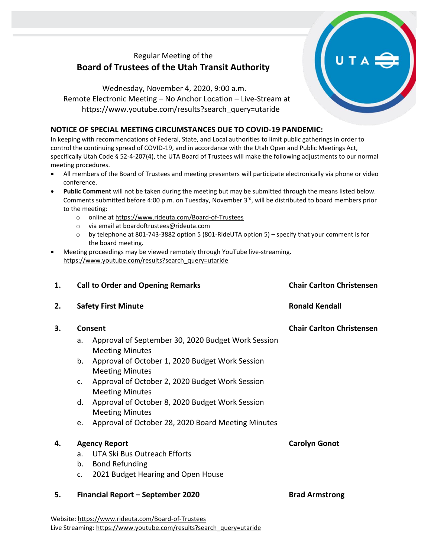## Regular Meeting of the **Board of Trustees of the Utah Transit Authority**

## Wednesday, November 4, 2020, 9:00 a.m. Remote Electronic Meeting – No Anchor Location – Live-Stream at [https://www.youtube.com/results?search\\_query=utaride](https://www.youtube.com/results?search_query=utaride)

## **NOTICE OF SPECIAL MEETING CIRCUMSTANCES DUE TO COVID-19 PANDEMIC:**

In keeping with recommendations of Federal, State, and Local authorities to limit public gatherings in order to control the continuing spread of COVID-19, and in accordance with the Utah Open and Public Meetings Act, specifically Utah Code § 52-4-207(4), the UTA Board of Trustees will make the following adjustments to our normal meeting procedures.

- All members of the Board of Trustees and meeting presenters will participate electronically via phone or video conference.
- **Public Comment** will not be taken during the meeting but may be submitted through the means listed below. Comments submitted before 4:00 p.m. on Tuesday, November 3<sup>rd</sup>, will be distributed to board members prior to the meeting:
	- o online at<https://www.rideuta.com/Board-of-Trustees>
	- o via email at [boardoftrustees@rideuta.com](mailto:boardoftrustees@rideuta.com)
	- o by telephone at 801-743-3882 option 5 (801-RideUTA option 5) specify that your comment is for the board meeting.
- Meeting proceedings may be viewed remotely through YouTube live-streaming. [https://www.youtube.com/results?search\\_query=utaride](https://www.youtube.com/results?search_query=utaride)

| 1. |                                   | <b>Call to Order and Opening Remarks</b>                                     | <b>Chair Carlton Christensen</b> |
|----|-----------------------------------|------------------------------------------------------------------------------|----------------------------------|
| 2. |                                   | <b>Safety First Minute</b>                                                   | <b>Ronald Kendall</b>            |
| 3. |                                   | Consent                                                                      | <b>Chair Carlton Christensen</b> |
|    | a.                                | Approval of September 30, 2020 Budget Work Session<br><b>Meeting Minutes</b> |                                  |
|    | b.                                | Approval of October 1, 2020 Budget Work Session<br><b>Meeting Minutes</b>    |                                  |
|    | c.                                | Approval of October 2, 2020 Budget Work Session<br><b>Meeting Minutes</b>    |                                  |
|    | d.                                | Approval of October 8, 2020 Budget Work Session<br><b>Meeting Minutes</b>    |                                  |
|    | e.                                | Approval of October 28, 2020 Board Meeting Minutes                           |                                  |
| 4. | <b>Agency Report</b>              |                                                                              | <b>Carolyn Gonot</b>             |
|    | a <sub>r</sub>                    | UTA Ski Bus Outreach Efforts                                                 |                                  |
|    | b.                                | <b>Bond Refunding</b>                                                        |                                  |
|    | c.                                | 2021 Budget Hearing and Open House                                           |                                  |
| 5. | Financial Report - September 2020 |                                                                              | <b>Brad Armstrong</b>            |
|    |                                   | Website: https://www.rideuta.com/Board-of-Trustees                           |                                  |